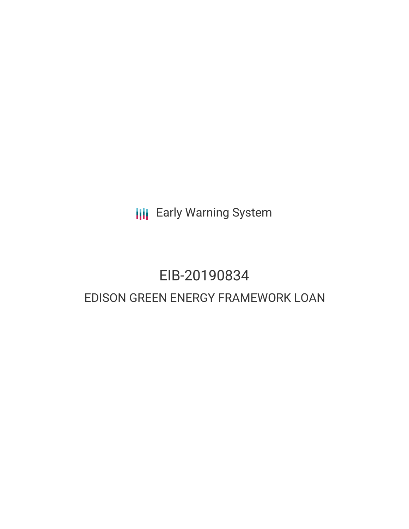**III** Early Warning System

## EIB-20190834 EDISON GREEN ENERGY FRAMEWORK LOAN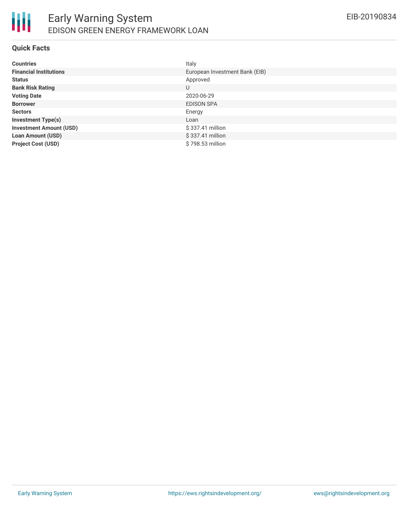

#### **Quick Facts**

| <b>Countries</b>               | Italy                          |
|--------------------------------|--------------------------------|
| <b>Financial Institutions</b>  | European Investment Bank (EIB) |
| <b>Status</b>                  | Approved                       |
| <b>Bank Risk Rating</b>        | U                              |
| <b>Voting Date</b>             | 2020-06-29                     |
| <b>Borrower</b>                | <b>EDISON SPA</b>              |
| <b>Sectors</b>                 | Energy                         |
| <b>Investment Type(s)</b>      | Loan                           |
| <b>Investment Amount (USD)</b> | \$337.41 million               |
| <b>Loan Amount (USD)</b>       | \$337.41 million               |
| <b>Project Cost (USD)</b>      | \$798.53 million               |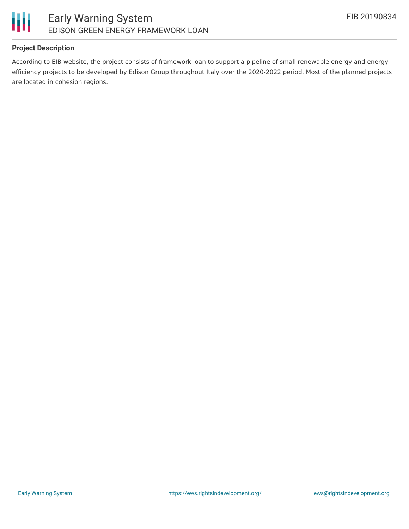

#### **Project Description**

According to EIB website, the project consists of framework loan to support a pipeline of small renewable energy and energy efficiency projects to be developed by Edison Group throughout Italy over the 2020-2022 period. Most of the planned projects are located in cohesion regions.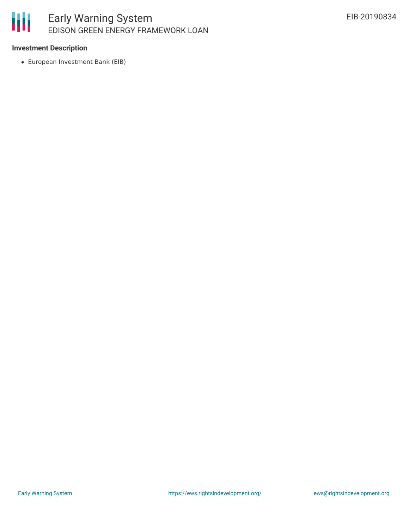#### 冊 Early Warning System EDISON GREEN ENERGY FRAMEWORK LOAN

#### **Investment Description**

European Investment Bank (EIB)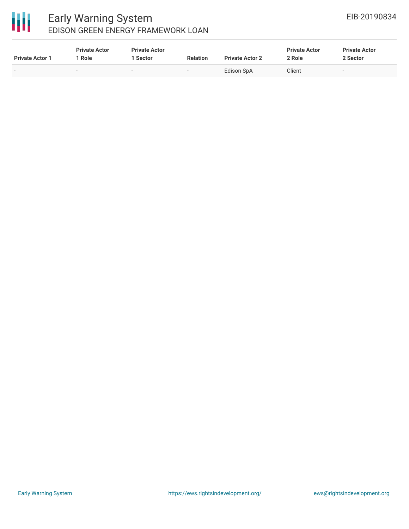# 冊

### Early Warning System EDISON GREEN ENERGY FRAMEWORK LOAN

| <b>Private Actor 1</b> | <b>Private Actor</b><br><b>Role</b> | <b>Private Actor</b><br>. Sector | <b>Relation</b> | <b>Private Actor 2</b> | <b>Private Actor</b><br>2 Role | <b>Private Actor</b><br>2 Sector |
|------------------------|-------------------------------------|----------------------------------|-----------------|------------------------|--------------------------------|----------------------------------|
|                        |                                     | $\overline{\phantom{a}}$         | $\sim$          | Edison SpA             | Client                         | $\sim$                           |